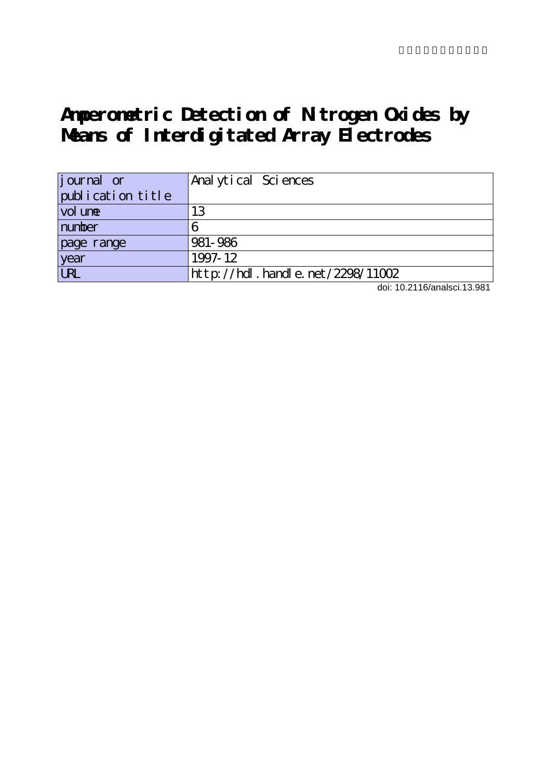# **Amperometric Detection of Nitrogen Oxides by Means of Interdigitated Array Electrodes**

| journal or        | Anal ytical Sciences                |
|-------------------|-------------------------------------|
| publication title |                                     |
| vol une           | 13                                  |
| number            |                                     |
| page range        | 981-986                             |
| year              | 1997-12                             |
| URL               | http://hdl. handle. net /2298/11002 |

doi: 10.2116/analsci.13.981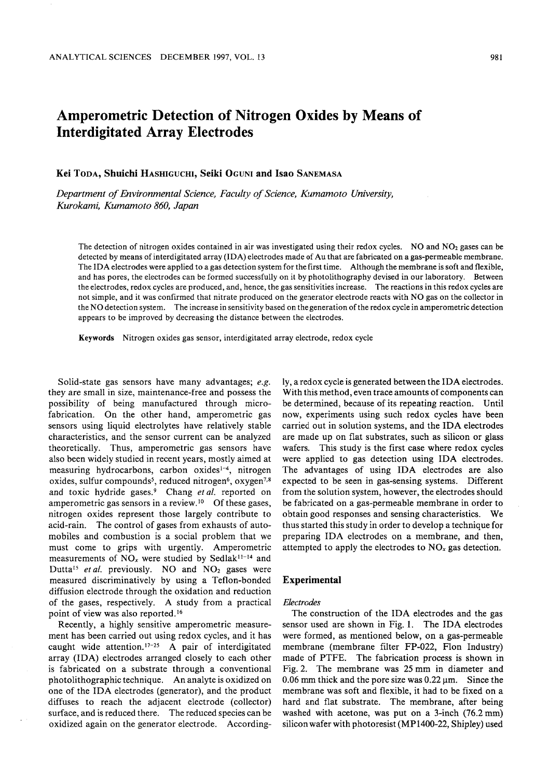# Amperometric Detection of Nitrogen Oxides by Means of Interdigitated Array Electrodes

Kei Toda, Shuichi Hashiguchi, Seiki Oguni and Isao Sanemasa

Department of Environmental Science, Faculty of Science, Kumamoto University, Kurokami, Kumamoto 860, Japan

The detection of nitrogen oxides contained in air was investigated using their redox cycles. NO and  $NO<sub>2</sub>$  gases can be detected by means of interdigitated array (IDA) electrodes made of Au that are fabricated on a gas-permeable membrane. The IDA electrodes were applied to a gas detection system for the first time. Although the membrane is soft and flexible, and has pores, the electrodes can be formed successfully on it by photolithography devised in our laboratory. Between the electrodes, redox cycles are produced, and, hence, the gas sensitivities increase. The reactions in this redox cycles are not simple, and it was confirmed that nitrate produced on the generator electrode reacts with NO gas on the collector in the NO detection system. The increase in sensitivity based on the generation of the redox cycle in amperometric detection appears to be improved by decreasing the distance between the electrodes.

Keywords Nitrogen oxides gas sensor, interdigitated array electrode, redox cycle

Solid-state gas sensors have many advantages; e.g. they are small in size, maintenance-free and possess the possibility of being manufactured through microfabrication. On the other hand, amperometric gas sensors using liquid electrolytes have relatively stable characteristics, and the sensor current can be analyzed theoretically. Thus, amperometric gas sensors have also been widely studied in recent years, mostly aimed at measuring hydrocarbons, carbon oxides<sup>1-4</sup>, nitrogen oxides, sulfur compounds<sup>5</sup>, reduced nitrogen<sup>6</sup>, oxygen<sup>7,8</sup> and toxic hydride gases.<sup>9</sup> Chang et al. reported on amperometric gas sensors in a review.<sup>10</sup> Of these gases, nitrogen oxides represent those largely contribute to acid-rain. The control of gases from exhausts of auto mobiles and combustion is social problem that we must come to grips with urgently. Amperometric measurements of  $NO_x$  were studied by Sedlak<sup>11-14</sup> and Dutta<sup>15</sup> et al. previously. NO and  $NO<sub>2</sub>$  gases were measured discriminatively by using a Teflon-bonded diffusion electrode through the oxidation and reduction of the gases, respectively. A study from a practical point of view was also reported.16

Recently, a highly sensitive amperometric measurement has been carried out using redox cycles, and it has caught wide attention.<sup>17-25</sup> A pair of interdigitated array (IDA) electrodes arranged closely to each other is fabricated on a substrate through a conventional photolithographic technique. An analyte is oxidized on one of the IDA electrodes (generator), and the product diffuses to reach the adjacent electrode (collector) surface, and is reduced there. The reduced species can be oxidized again on the generator electrode. According ly, a redox cycle is generated between the IDA electrodes. With this method, even trace amounts of components can be determined, because of its repeating reaction. Until now, experiments using such redox cycles have been carried out in solution systems, and the IDA electrodes are made up on flat substrates, such as silicon or glass wafers. This study is the first case where redox cycles were applied to gas detection using IDA electrodes. The advantages of using IDA electrodes are also expected to be seen in gas-sensing systems. Different from the solution system, however, the electrodes should be fabricated on a gas-permeable membrane in order to obtain good responses and sensing characteristics. We thus started this study in order to develop a technique for preparing IDA electrodes on a membrane, and then, attempted to apply the electrodes to  $NO<sub>x</sub>$  gas detection.

# Experimental

#### Electrodes

The construction of the IDA electrodes and the gas sensor used are shown in Fig. 1. The IDA electrodes were formed, as mentioned below, on a gas-permeable membrane (membrane filter FP-022, Flon Industry) made of PTFE. The fabrication process is shown in Fig. 2. The membrane was <sup>25</sup> mm in diameter and 0.06 mm thick and the pore size was  $0.22 \,\mu m$ . Since the membrane was soft and flexible, it had to be fixed on hard and flat substrate. The membrane, after being washed with acetone, was put on a 3-inch (76.2 mm) silicon wafer with photoresist (MP1400-22, Shipley) used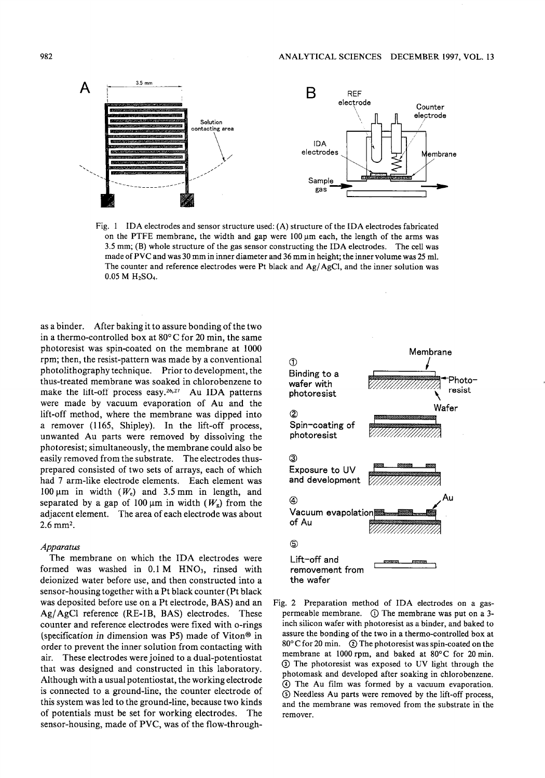

Fig. IDA electrodes and sensor structure used: (A) structure of the IDA electrodes fabricated on the PTFE membrane, the width and gap were  $100 \mu m$  each, the length of the arms was 3.5 mm; (B) whole structure of the gas sensor constructing the IDA electrodes. The cell was made of VC and was <sup>30</sup> mm in inner diameter and <sup>36</sup> mm in height; the inner volume was <sup>25</sup> ml. The counter and reference electrodes were Pt black and Ag/AgCl, and the inner solution was  $0.05 M H_2SO<sub>4</sub>$ .

as binder. After baking it to assure bonding of the two in a thermo-controlled box at  $80^{\circ}$ C for 20 min, the same photoresist was spin-coated on the membrane at 1000 rpm; then, the resist-pattern was made by a conventional photolithography technique. Prior to development, the thus-treated membrane was soaked in chlorobenzene to make the lift-off process easy.<sup>26,27</sup> Au IDA patterns were made by vacuum evaporation of Au and the lift-off method, where the membrane was dipped into a remover (1165, Shipley). In the lift-off process, unwanted Au parts were removed by dissolving the photoresist; simultaneously, the membrane could also be easily removed from the substrate. The electrodes thusprepared consisted of two sets of arrays, each of which had 7 arm-like electrode elements. Each element was 100  $\mu$ m in width (W<sub>e</sub>) and 3.5 mm in length, and separated by a gap of 100  $\mu$ m in width ( $W_g$ ) from the adjacent element. The area of each electrode was about 2.6 mm2.

# Apparatus

The membrane on which the IDA electrodes were formed was washed in  $0.1 M$  HNO<sub>3</sub>, rinsed with deionized water before use, and then constructed into sensor-housing together with a Pt black counter (Pt black was deposited before use on a Pt electrode, BAS) and an Ag/AgCl reference (RE-IB, BAS) electrodes. These counter and reference electrodes were fixed with o-rings (specification in dimension was P5) made of Viton® in order to prevent the inner solution from contacting with air. These electrodes were joined to a dual-potentiostat that was designed and constructed in this laboratory. Although with a usual potentiostat, the working electrode is connected to a ground-line, the counter electrode of this system was led to the ground-line, because two kinds of potentials must be set for working electrodes. The sensor-housing, made of PVC, was of the flow-through-



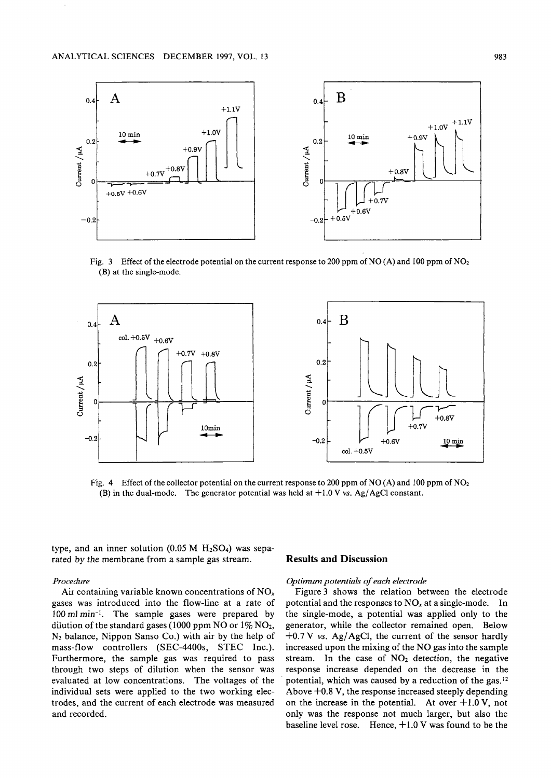

Fig. 3 Effect of the electrode potential on the current response to 200 ppm of NO (A) and 100 ppm of NO<sub>2</sub> (B) at the single-mode.



Fig. 4 Effect of the collector potential on the current response to 200 ppm of NO (A) and 100 ppm of NO<sub>2</sub> (B) in the dual-mode. The generator potential was held at  $+1.0$  V vs. Ag/AgCl constant.

type, and an inner solution  $(0.05 M H<sub>2</sub>SO<sub>4</sub>)$  was separated by the membrane from a sample gas stream.

# Procedure

Air containing variable known concentrations of  $NO<sub>x</sub>$ gases was introduced into the flow-line at a rate of  $100 \text{ ml min}^{-1}$ . The sample gases were prepared by dilution of the standard gases (1000 ppm NO or  $1\%$  NO<sub>2</sub>, N2 balance, Nippon Sanso Co.) with air by the help of mass-flow controllers (SEC-4400s, STEC Inc.). Furthermore, the sample gas was required to pass through two steps of dilution when the sensor was evaluated at low concentrations. The voltages of the individual sets were applied to the two working elec trodes, and the current of each electrode was measured and recorded.

# Results and Discussion

# Optimum potentials of each electrode

Figure 3 shows the relation between the electrode potential and the responses to  $NO_x$  at a single-mode. In the single-mode, a potential was applied only to the generator, while the collector remained open. Below  $+0.7$  V vs. Ag/AgCl, the current of the sensor hardly increased upon the mixing of the NO gas into the sample stream. In the case of  $NO<sub>2</sub>$  detection, the negative response increase depended on the decrease in the potential, which was caused by a reduction of the gas. $12$ Above +0.8 V, the response increased steeply depending on the increase in the potential. At over  $+1.0$  V, not only was the response not much larger, but also the baseline level rose. Hence,  $+1.0$  V was found to be the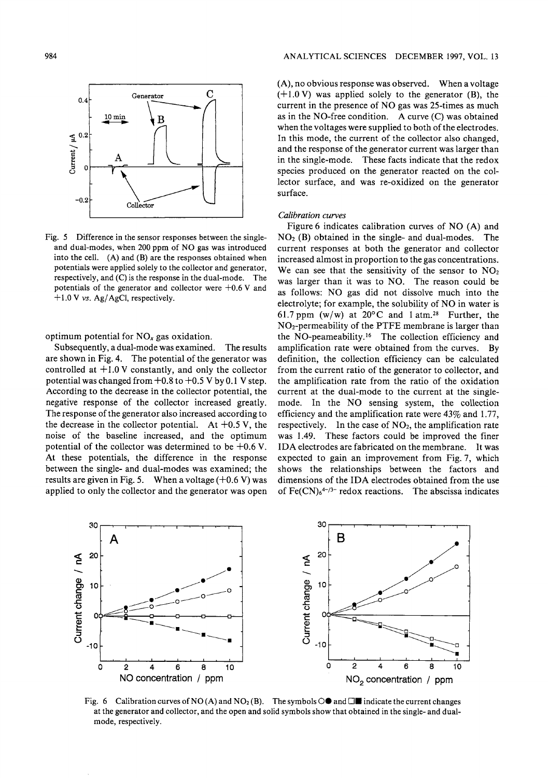

Fig. 5 Difference in the sensor responses between the singleand dual-modes, when <sup>200</sup> ppm of NO gas was introduced into the cell. (A) and (B) are the responses obtained when potentials were applied solely to the collector and generator, respectively, and (C) is the response in the dual-mode. The potentials of the generator and collector were  $+0.6$  V and  $+1.0$  V vs. Ag/AgCl, respectively.

optimum potential for  $NO<sub>x</sub>$  gas oxidation.

Subsequently, a dual-mode was examined. The results are shown in Fig. 4. The potential of the generator was controlled at  $+1.0$  V constantly, and only the collector potential was changed from  $+0.8$  to  $+0.5$  V by 0.1 V step. According to the decrease in the collector potential, the negative response of the collector increased greatly. The response of the generator also increased according to the decrease in the collector potential. At  $+0.5$  V, the noise of the baseline increased, and the optimum potential of the collector was determined to be  $+0.6$  V. At these potentials, the difference in the response between the single- and dual-modes was examined; the results are given in Fig. 5. When a voltage  $(+0.6 V)$  was applied to only the collector and the generator was open  $(A)$ , no obvious response was observed. When a voltage  $(+1.0 \text{ V})$  was applied solely to the generator (B), the current in the presence of NO gas was 25-times as much as in the NO-free condition. A curve  $(C)$  was obtained when the voltages were supplied to both of the electrodes. In this mode, the current of the collector also changed, and the response of the generator current was larger than in the single-mode. These facts indicate that the redox species produced on the generator reacted on the col lector surface, and was re-oxidized on the generator surface.

# Calibration curves

Figure 6 indicates calibration curves of NO (A) and  $NO<sub>2</sub>$  (B) obtained in the single- and dual-modes. The current responses at both the generator and collector increased almost in proportion to the gas concentrations. We can see that the sensitivity of the sensor to  $NO<sub>2</sub>$ was larger than it was to NO. The reason could be as follows: NO gas did not dissolve much into the electrolyte; for example, the solubility of NO in water is 61.7 ppm (w/w) at  $20^{\circ}$ C and 1 atm.<sup>28</sup> Further, the NO2-permeability of the PTFE membrane is larger than the NO-peameability.16 The collection efficiency and amplification rate were obtained from the curves. By definition, the collection efficiency can be calculated from the current ratio of the generator to collector, and the amplification rate from the ratio of the oxidation current at the dual-mode to the current at the singlemode. In the NO sensing system, the collection efficiency and the amplification rate were 43% and 1.77, respectively. In the case of  $NO<sub>2</sub>$ , the amplification rate was 1.49. These factors could be improved the finer IDA electrodes are fabricated on the membrane. It was expected to gain an improvement from Fig. 7, which shows the relationships between the factors and dimensions of the IDA electrodes obtained from the use of  $Fe(CN)_{6}^{4-\frac{1}{3}}$  redox reactions. The abscissa indicates



Fig. 6 Calibration curves of NO (A) and NO<sub>2</sub> (B). The symbols  $\bigcirc$  and  $\Box$  indicate the current changes at the generator and collector, and the open and solid symbols show that obtained in the single- and dualmode, respectively.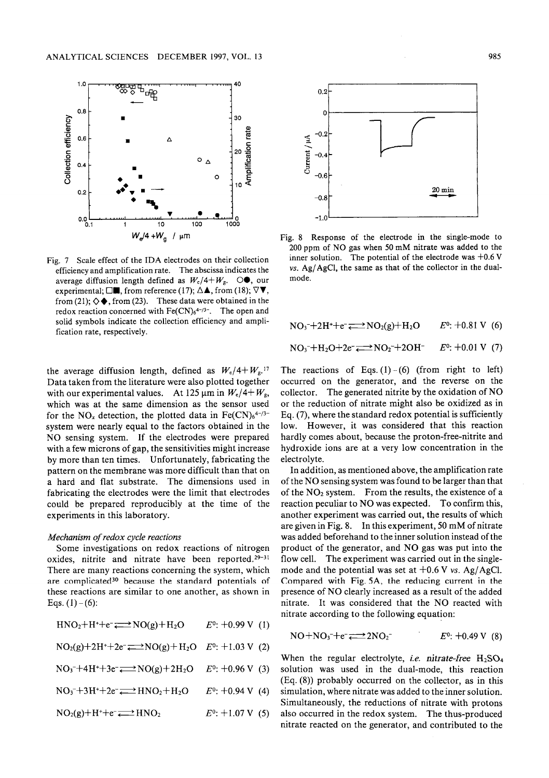

Fig. 7 Scale effect of the IDA electrodes on their collection efficiency and amplification rate. The abscissa indicates the average diffusion length defined as  $W_c/4+W_g$ .  $\odot \bullet$ , our experimental;  $\square$ , from reference (17);  $\Delta \blacktriangle$ , from (18);  $\nabla \blacktriangledown$ , from (21);  $\diamondsuit$ , from (23). These data were obtained in the redox reaction concerned with  $Fe(CN)_{6}^{4-\frac{1}{3}}$ . The open and solid symbols indicate the collection efficiency and ampli fication rate, respectively.

the average diffusion length, defined as  $W_e/4+W_e$ .<sup>17</sup> Data taken from the literature were also plotted together with our experimental values. At 125  $\mu$ m in  $W_e/4+W_g$ , which was at the same dimension as the sensor used for the NO<sub>x</sub> detection, the plotted data in Fe(CN)<sub>6</sub><sup>4-/3-</sup> system were nearly equal to the factors obtained in the NO sensing system. If the electrodes were prepared with a few microns of gap, the sensitivities might increase by more than ten times. Unfortunately, fabricating the pattern on the membrane was more difficult than that on hard and flat substrate. The dimensions used in fabricating the electrodes were the limit that electrodes could be prepared reproducibly at the time of the experiments in this laboratory.

### Mechanism of redox cycle reactions

Some investigations on redox reactions of nitrogen oxides, nitrite and nitrate have been reported. $29-31$ There are many reactions concerning the system, which are complicated30 because the standard potentials of these reactions are similar to one another, as shown in Eqs.  $(1)-(6)$ :

| $HNO2+H++e- \longrightarrow NO(g)+H2O$                                    | $E^0$ : +0.99 V (1) |
|---------------------------------------------------------------------------|---------------------|
| $NO2(g) + 2H^+ + 2e^- \rightleftharpoons NO(g) + H2O$ $E^0$ : +1.03 V (2) |                     |
| $NO3-+4H++3e- \longrightarrow NO(g)+2H2O$                                 | $E^0$ : +0.96 V (3) |
| $NO3 + 3H++2e- \rightleftarrows HNO2+H2O$                                 | $E^0$ : +0.94 V (4) |
| $NO2(g) + H^+ + e^- \rightleftharpoons HNO2$                              | $E^0$ : +1.07 V (5) |



Fig. Response of the electrode in the single-mode to <sup>200</sup> ppm of NO gas when <sup>50</sup> mM nitrate was added to the inner solution. The potential of the electrode was  $+0.6$  V vs. Ag/AgCl, the same as that of the collector in the dualmode.

$$
NO3-+2H++e- \longrightarrow NO2(g)+H2O \qquad E0: +0.81 V (6)
$$

$$
NO3-+H2O+2e- \longrightarrow NO2-+2OH- E0: +0.01 V (7)
$$

The reactions of Eqs.  $(1) - (6)$  (from right to left) occurred on the generator, and the reverse on the collector. The generated nitrite by the oxidation of NO or the reduction of nitrate might also be oxidized as in Eq. (7), where the standard redox potential is sufficiently low. However, it was considered that this reaction hardly comes about, because the proton-free-nitrite and hydroxide ions are at a very low concentration in the electrolyte.

In addition, as mentioned above, the amplification rate of the NO sensing system was found to be larger than that of the  $NO<sub>2</sub>$  system. From the results, the existence of a reaction peculiar to NO was expected. To confirm this, another experiment was carried out, the results of which are given in Fig. 8. In this experiment, <sup>50</sup> mM of nitrate was added beforehand to the inner solution instead of the product of the generator, and NO gas was put into the flow cell. The experiment was carried out in the singlemode and the potential was set at  $+0.6$  V vs. Ag/AgCl. Compared with Fig. 5A, the reducing current in the presence of NO clearly increased as a result of the added nitrate. It was considered that the NO reacted with nitrate according to the following equation:

$$
NO + NO3 + e^- \longrightarrow 2NO2 \qquad E0: +0.49 V (8)
$$

When the regular electrolyte, *i.e.* nitrate-free  $H_2SO_4$ solution was used in the dual-mode, this reaction (Eq. (8)) probably occurred on the collector, as in this simulation, where nitrate was added to the inner solution. Simultaneously, the reductions of nitrate with protons also occurred in the redox system. The thus-produced nitrate reacted on the generator, and contributed to the